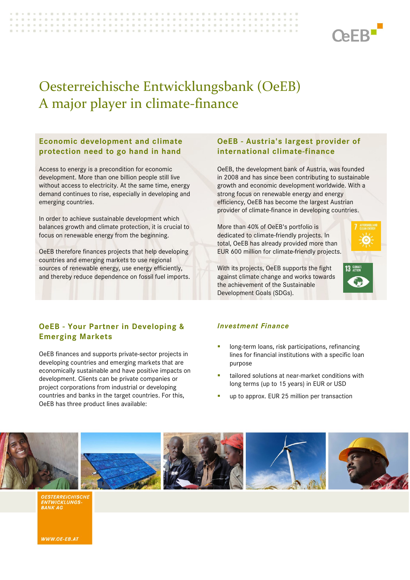

# Oesterreichische Entwicklungsbank (OeEB) A major player in climate-finance

-------------------

#### **Economic development and climate protection need to go hand in hand**

> Access to energy is a precondition for economic development. More than one billion people still live without access to electricity. At the same time, energy demand continues to rise, especially in developing and emerging countries.

> In order to achieve sustainable development which balances growth and climate protection, it is crucial to focus on renewable energy from the beginning.

> OeEB therefore finances projects that help developing countries and emerging markets to use regional sources of renewable energy, use energy efficiently, and thereby reduce dependence on fossil fuel imports.

# **OeEB - Austria's largest provider of international climate-finance**

OeEB, the development bank of Austria, was founded in 2008 and has since been contributing to sustainable growth and economic development worldwide. With a strong focus on renewable energy and energy efficiency, OeEB has become the largest Austrian provider of climate-finance in developing countries.

More than 40% of OeEB's portfolio is dedicated to climate-friendly projects. In total, OeEB has already provided more than EUR 600 million for climate-friendly projects.



With its projects, OeEB supports the fight against climate change and works towards the achievement of the Sustainable Development Goals (SDGs).

# **OeEB - Your Partner in Developing & Emerging Markets**

OeEB finances and supports private-sector projects in developing countries and emerging markets that are economically sustainable and have positive impacts on development. Clients can be private companies or project corporations from industrial or developing countries and banks in the target countries. For this, OeEB has three product lines available:

#### *Investment Finance*

- long-term loans, risk participations, refinancing lines for financial institutions with a specific loan purpose
- tailored solutions at near-market conditions with long terms (up to 15 years) in EUR or USD
- up to approx. EUR 25 million per transaction



**OESTERREICHISCHE** ENTWICKLUNGS<br>BANK AG

WWW.OE-EB.AT